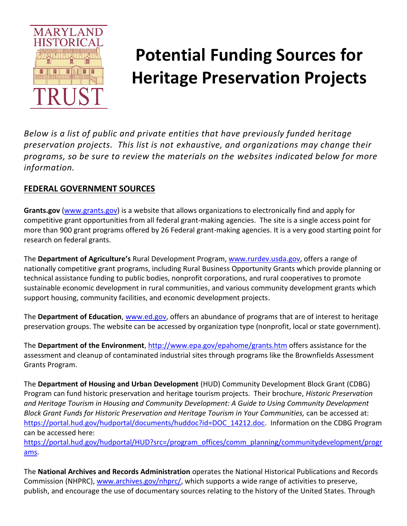

# **Potential Funding Sources for Heritage Preservation Projects**

*Below is a list of public and private entities that have previously funded heritage preservation projects. This list is not exhaustive, and organizations may change their programs, so be sure to review the materials on the websites indicated below for more information.*

## **FEDERAL GOVERNMENT SOURCES**

**Grants.gov** [\(www.grants.gov\)](http://www.grants.gov/) is a website that allows organizations to electronically find and apply for competitive grant opportunities from all federal grant-making agencies. The site is a single access point for more than 900 grant programs offered by 26 Federal grant-making agencies. It is a very good starting point for research on federal grants.

The **Department of Agriculture's** Rural Development Program, [www.rurdev.usda.gov,](http://www.rurdev.usda.gov/) offers a range of nationally competitive grant programs, including Rural Business Opportunity Grants which provide planning or technical assistance funding to public bodies, nonprofit corporations, and rural cooperatives to promote sustainable economic development in rural communities, and various community development grants which support housing, community facilities, and economic development projects.

The **Department of Education**[, www.ed.gov,](http://www.ed.gov/) offers an abundance of programs that are of interest to heritage preservation groups. The website can be accessed by organization type (nonprofit, local or state government).

The **Department of the Environment**,<http://www.epa.gov/epahome/grants.htm> offers assistance for the assessment and cleanup of contaminated industrial sites through programs like the Brownfields Assessment Grants Program.

The **Department of Housing and Urban Development** (HUD) Community Development Block Grant (CDBG) Program can fund historic preservation and heritage tourism projects. Their brochure, *Historic Preservation and Heritage Tourism in Housing and Community Development: A Guide to Using Community Development Block Grant Funds for Historic Preservation and Heritage Tourism in Your Communities,* can be accessed at: [https://portal.hud.gov/hudportal/documents/huddoc?id=DOC\\_14212.doc.](https://portal.hud.gov/hudportal/documents/huddoc?id=DOC_14212.doc) Information on the CDBG Program can be accessed here:

[https://portal.hud.gov/hudportal/HUD?src=/program\\_offices/comm\\_planning/communitydevelopment/progr](https://portal.hud.gov/hudportal/HUD?src=/program_offices/comm_planning/communitydevelopment/programs) [ams.](https://portal.hud.gov/hudportal/HUD?src=/program_offices/comm_planning/communitydevelopment/programs)

The **National Archives and Records Administration** operates the National Historical Publications and Records Commission (NHPRC), [www.archives.gov/nhprc/,](http://www.archives.gov/nhprc/) which supports a wide range of activities to preserve, publish, and encourage the use of documentary sources relating to the history of the United States. Through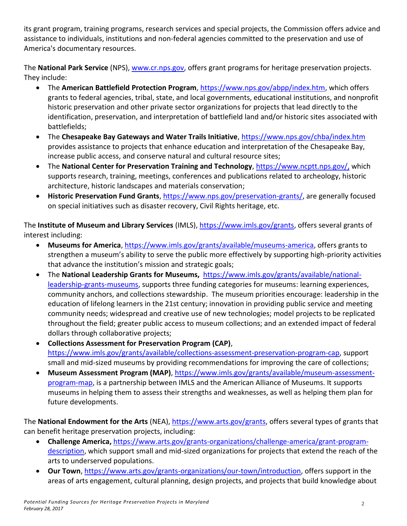its grant program, training programs, research services and special projects, the Commission offers advice and assistance to individuals, institutions and non-federal agencies committed to the preservation and use of America's documentary resources.

The **National Park Service** (NPS), [www.cr.nps.gov,](http://www.cr.nps.gov/) offers grant programs for heritage preservation projects. They include:

- The **American Battlefield Protection Program**, [https://www.nps.gov/abpp/index.htm,](https://www.nps.gov/abpp/index.htm) which offers grants to federal agencies, tribal, state, and local governments, educational institutions, and nonprofit historic preservation and other private sector organizations for projects that lead directly to the identification, preservation, and interpretation of battlefield land and/or historic sites associated with battlefields;
- The **Chesapeake Bay Gateways and Water Trails Initiative**, <https://www.nps.gov/chba/index.htm> provides assistance to projects that enhance education and interpretation of the Chesapeake Bay, increase public access, and conserve natural and cultural resource sites;
- The **National Center for Preservation Training and Technology**, [https://www.ncptt.nps.gov/,](https://www.ncptt.nps.gov/) which supports research, training, meetings, conferences and publications related to archeology, historic architecture, historic landscapes and materials conservation;
- **Historic Preservation Fund Grants**, [https://www.nps.gov/preservation-grants/,](https://www.nps.gov/preservation-grants/) are generally focused on special initiatives such as disaster recovery, Civil Rights heritage, etc.

The **Institute of Museum and Library Services** (IMLS), [https://www.imls.gov/grants,](https://www.imls.gov/grants) offers several grants of interest including:

- **Museums for America**[, https://www.imls.gov/grants/available/museums-america,](https://www.imls.gov/grants/available/museums-america) offers grants to strengthen a museum's ability to serve the public more effectively by supporting high-priority activities that advance the institution's mission and strategic goals;
- The **National Leadership Grants for Museums,** [https://www.imls.gov/grants/available/national](https://www.imls.gov/grants/available/national-leadership-grants-museums)[leadership-grants-museums,](https://www.imls.gov/grants/available/national-leadership-grants-museums) supports three funding categories for museums: learning experiences, community anchors, and collections stewardship. The museum priorities encourage: leadership in the education of lifelong learners in the 21st century; innovation in providing public service and meeting community needs; widespread and creative use of new technologies; model projects to be replicated throughout the field; greater public access to museum collections; and an extended impact of federal dollars through collaborative projects;
- **Collections Assessment for Preservation Program (CAP)**, [https://www.imls.gov/grants/available/collections-assessment-preservation-program-cap,](https://www.imls.gov/grants/available/collections-assessment-preservation-program-cap) support small and mid-sized museums by providing recommendations for improving the care of collections;
- **Museum Assessment Program (MAP)**, [https://www.imls.gov/grants/available/museum-assessment](https://www.imls.gov/grants/available/museum-assessment-program-map)[program-map,](https://www.imls.gov/grants/available/museum-assessment-program-map) is a partnership between IMLS and the American Alliance of Museums. It supports museums in helping them to assess their strengths and weaknesses, as well as helping them plan for future developments.

The **National Endowment for the Arts** (NEA), [https://www.arts.gov/grants,](https://www.arts.gov/grants) offers several types of grants that can benefit heritage preservation projects, including:

- **Challenge America,** [https://www.arts.gov/grants-organizations/challenge-america/grant-program](https://www.arts.gov/grants-organizations/challenge-america/grant-program-description)[description,](https://www.arts.gov/grants-organizations/challenge-america/grant-program-description) which support small and mid-sized organizations for projects that extend the reach of the arts to underserved populations.
- **Our Town**, [https://www.arts.gov/grants-organizations/our-town/introduction,](https://www.arts.gov/grants-organizations/our-town/introduction) offers support in the areas of arts engagement, cultural planning, design projects, and projects that build knowledge about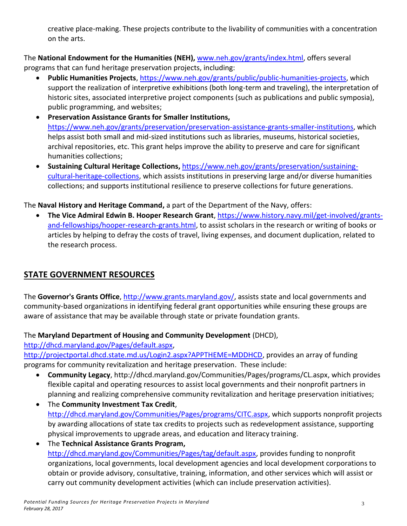creative place-making. These projects contribute to the livability of communities with a concentration on the arts.

The **National Endowment for the Humanities (NEH),** [www.neh.gov/grants/index.html,](http://www.neh.gov/grants/index.html) offers several programs that can fund heritage preservation projects, including:

- **Public Humanities Projects**, [https://www.neh.gov/grants/public/public-humanities-projects,](https://www.neh.gov/grants/public/public-humanities-projects) which support the realization of interpretive exhibitions (both long-term and traveling), the interpretation of historic sites, associated interpretive project components (such as publications and public symposia), public programming, and websites;
- **Preservation Assistance Grants for Smaller Institutions,**  [https://www.neh.gov/grants/preservation/preservation-assistance-grants-smaller-institutions,](https://www.neh.gov/grants/preservation/preservation-assistance-grants-smaller-institutions) which helps assist both small and mid-sized institutions such as libraries, museums, historical societies, archival repositories, etc. This grant helps improve the ability to preserve and care for significant humanities collections;
- **Sustaining Cultural Heritage Collections,** [https://www.neh.gov/grants/preservation/sustaining](https://www.neh.gov/grants/preservation/sustaining-cultural-heritage-collections)[cultural-heritage-collections,](https://www.neh.gov/grants/preservation/sustaining-cultural-heritage-collections) which assists institutions in preserving large and/or diverse humanities collections; and supports institutional resilience to preserve collections for future generations.

The **Naval History and Heritage Command,** a part of the Department of the Navy, offers:

 **The Vice Admiral Edwin B. Hooper Research Grant**, [https://www.history.navy.mil/get-involved/grants](https://www.history.navy.mil/get-involved/grants-and-fellowships/hooper-research-grants.html)[and-fellowships/hooper-research-grants.html,](https://www.history.navy.mil/get-involved/grants-and-fellowships/hooper-research-grants.html) to assist scholars in the research or writing of books or articles by helping to defray the costs of travel, living expenses, and document duplication, related to the research process.

## **STATE GOVERNMENT RESOURCES**

The **Governor's Grants Office**[, http://www.grants.maryland.gov/,](http://www.grants.maryland.gov/) assists state and local governments and community-based organizations in identifying federal grant opportunities while ensuring these groups are aware of assistance that may be available through state or private foundation grants.

The **Maryland Department of Housing and Community Development** (DHCD),

[http://dhcd.maryland.gov/Pages/default.aspx,](http://dhcd.maryland.gov/Pages/default.aspx)

[http://projectportal.dhcd.state.md.us/Login2.aspx?APPTHEME=MDDHCD,](http://projectportal.dhcd.state.md.us/Login2.aspx?APPTHEME=MDDHCD) provides an array of funding programs for community revitalization and heritage preservation. These include:

- **Community Legacy**, http://dhcd.maryland.gov/Communities/Pages/programs/CL.aspx, which provides flexible capital and operating resources to assist local governments and their nonprofit partners in planning and realizing comprehensive community revitalization and heritage preservation initiatives;
- The **Community Investment Tax Credit**, [http://dhcd.maryland.gov/Communities/Pages/programs/CITC.aspx,](http://dhcd.maryland.gov/Communities/Pages/programs/CITC.aspx) which supports nonprofit projects by awarding allocations of state tax credits to projects such as redevelopment assistance, supporting physical improvements to upgrade areas, and education and literacy training.
- The **Technical Assistance Grants Program,**  [http://dhcd.maryland.gov/Communities/Pages/tag/default.aspx,](http://dhcd.maryland.gov/Communities/Pages/tag/default.aspx) provides funding to nonprofit organizations, local governments, local development agencies and local development corporations to obtain or provide advisory, consultative, training, information, and other services which will assist or carry out community development activities (which can include preservation activities).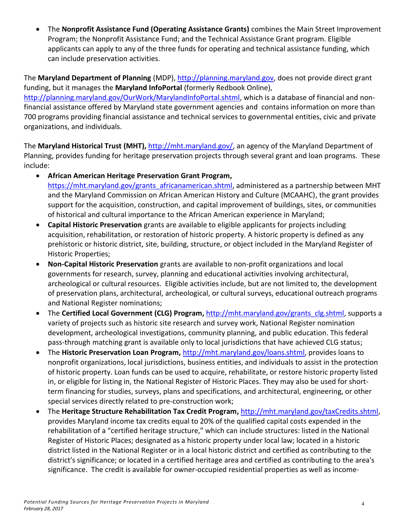The **Nonprofit Assistance Fund (Operating Assistance Grants)** combines the Main Street Improvement Program; the Nonprofit Assistance Fund; and the Technical Assistance Grant program. Eligible applicants can apply to any of the three funds for operating and technical assistance funding, which can include preservation activities.

The **Maryland Department of Planning** (MDP), [http://planning.maryland.gov,](http://planning.maryland.gov/) does not provide direct grant funding, but it manages the **Maryland InfoPortal** (formerly Redbook Online), [http://planning.maryland.gov/OurWork/MarylandInfoPortal.shtml,](http://planning.maryland.gov/OurWork/MarylandInfoPortal.shtml) which is a database of financial and nonfinancial assistance offered by Maryland state government agencies and contains information on more than 700 programs providing financial assistance and technical services to governmental entities, civic and private organizations, and individuals.

The **Maryland Historical Trust (MHT),** [http://mht.maryland.gov/,](http://mht.maryland.gov/) an agency of the Maryland Department of Planning, provides funding for heritage preservation projects through several grant and loan programs. These include:

- **African American Heritage Preservation Grant Program,** [https://mht.maryland.gov/grants\\_africanamerican.shtml,](https://mht.maryland.gov/grants_africanamerican.shtml) administered as a partnership between MHT and the Maryland Commission on African American History and Culture (MCAAHC), the grant provides support for the acquisition, construction, and capital improvement of buildings, sites, or communities of historical and cultural importance to the African American experience in Maryland;
- **Capital Historic Preservation** grants are available to eligible applicants for projects including acquisition, rehabilitation, or restoration of historic property. A historic property is defined as any prehistoric or historic district, site, building, structure, or object included in the Maryland Register of Historic Properties;
- **Non-Capital Historic Preservation** grants are available to non-profit organizations and local governments for research, survey, planning and educational activities involving architectural, archeological or cultural resources. Eligible activities include, but are not limited to, the development of preservation plans, architectural, archeological, or cultural surveys, educational outreach programs and National Register nominations;
- The **Certified Local Government (CLG) Program,** [http://mht.maryland.gov/grants\\_clg.shtml,](http://mht.maryland.gov/grants_clg.shtml) supports a variety of projects such as historic site research and survey work, National Register nomination development, archeological investigations, community planning, and public education. This federal pass-through matching grant is available only to local jurisdictions that have achieved CLG status;
- The **Historic Preservation Loan Program,** [http://mht.maryland.gov/loans.shtml,](http://mht.maryland.gov/loans.shtml) provides loans to nonprofit organizations, local jurisdictions, business entities, and individuals to assist in the protection of historic property. Loan funds can be used to acquire, rehabilitate, or restore historic property listed in, or eligible for listing in, the National Register of Historic Places. They may also be used for shortterm financing for studies, surveys, plans and specifications, and architectural, engineering, or other special services directly related to pre-construction work;
- The **Heritage Structure Rehabilitation Tax Credit Program,** [http://mht.maryland.gov/taxCredits.shtml,](http://mht.maryland.gov/taxCredits.shtml) provides Maryland income tax credits equal to 20% of the qualified capital costs expended in the rehabilitation of a "certified heritage structure," which can include structures: listed in the National Register of Historic Places; designated as a historic property under local law; located in a historic district listed in the National Register or in a local historic district and certified as contributing to the district's significance; or located in a certified heritage area and certified as contributing to the area's significance. The credit is available for owner-occupied residential properties as well as income-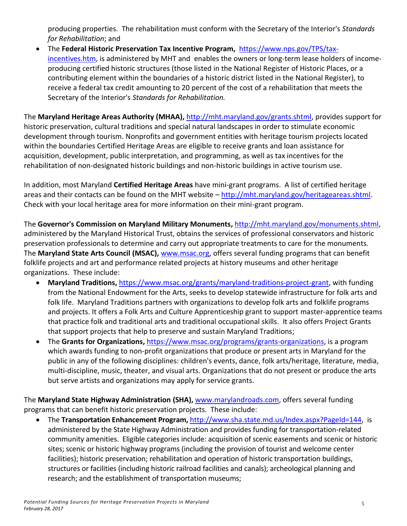producing properties. The rehabilitation must conform with the Secretary of the Interior's *Standards for Rehabilitation*; and

 The **Federal Historic Preservation Tax Incentive Program,** [https://www.nps.gov/TPS/tax](https://www.nps.gov/TPS/tax-incentives.htm)[incentives.htm,](https://www.nps.gov/TPS/tax-incentives.htm) is administered by MHT and enables the owners or long-term lease holders of incomeproducing certified historic structures (those listed in the National Register of Historic Places, or a contributing element within the boundaries of a historic district listed in the National Register), to receive a federal tax credit amounting to 20 percent of the cost of a rehabilitation that meets the Secretary of the Interior's *Standards for Rehabilitation.*

The **Maryland Heritage Areas Authority (MHAA),** [http://mht.maryland.gov/grants.shtml,](http://mht.maryland.gov/grants.shtml) provides support for historic preservation, cultural traditions and special natural landscapes in order to stimulate economic development through tourism. Nonprofits and government entities with heritage tourism projects located within the boundaries Certified Heritage Areas are eligible to receive grants and loan assistance for acquisition, development, public interpretation, and programming, as well as tax incentives for the rehabilitation of non-designated historic buildings and non-historic buildings in active tourism use.

In addition, most Maryland **Certified Heritage Areas** have mini-grant programs. A list of certified heritage areas and their contacts can be found on the MHT website – [http://mht.maryland.gov/heritageareas.shtml.](http://mht.maryland.gov/heritageareas.shtml) Check with your local heritage area for more information on their mini-grant program.

The **Governor's Commission on Maryland Military Monuments,** http://mht.maryland.gov/monuments.shtml, administered by the Maryland Historical Trust, obtains the services of professional conservators and historic preservation professionals to determine and carry out appropriate treatments to care for the monuments. The **Maryland State Arts Council (MSAC),** [www.msac.org,](http://www.msac.org/) offers several funding programs that can benefit folklife projects and art and performance related projects at history museums and other heritage organizations. These include:

- **Maryland Traditions,** [https://www.msac.org/grants/maryland-traditions-project-grant,](https://www.msac.org/grants/maryland-traditions-project-grant) with funding from the National Endowment for the Arts, seeks to develop statewide infrastructure for folk arts and folk life. Maryland Traditions partners with organizations to develop folk arts and folklife programs and projects. It offers a Folk Arts and Culture Apprenticeship grant to support master-apprentice teams that practice folk and traditional arts and traditional occupational skills. It also offers Project Grants that support projects that help to preserve and sustain Maryland Traditions;
- The **Grants for Organizations,** [https://www.msac.org/programs/grants-organizations,](https://www.msac.org/programs/grants-organizations) is a program which awards funding to non-profit organizations that produce or present arts in Maryland for the public in any of the following disciplines: children's events, dance, folk arts/heritage, literature, media, multi-discipline, music, theater, and visual arts. Organizations that do not present or produce the arts but serve artists and organizations may apply for service grants.

The **Maryland State Highway Administration (SHA),** [www.marylandroads.com,](http://www.marylandroads.com/) offers several funding programs that can benefit historic preservation projects. These include:

 The **Transportation Enhancement Program,** [http://www.sha.state.md.us/Index.aspx?PageId=144,](http://www.sha.state.md.us/Index.aspx?PageId=144) is administered by the State Highway Administration and provides funding for transportation-related community amenities. Eligible categories include: acquisition of scenic easements and scenic or historic sites; scenic or historic highway programs (including the provision of tourist and welcome center facilities); historic preservation; rehabilitation and operation of historic transportation buildings, structures or facilities (including historic railroad facilities and canals); archeological planning and research; and the establishment of transportation museums;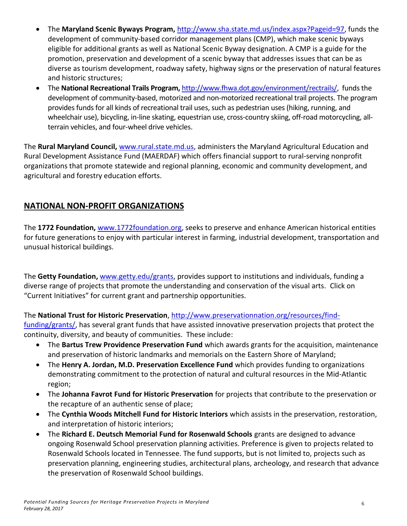- The **Maryland Scenic Byways Program,** [http://www.sha.state.md.us/index.aspx?Pageid=97,](http://www.sha.state.md.us/index.aspx?Pageid=97) funds the development of community-based corridor management plans (CMP), which make scenic byways eligible for additional grants as well as National Scenic Byway designation. A CMP is a guide for the promotion, preservation and development of a scenic byway that addresses issues that can be as diverse as tourism development, roadway safety, highway signs or the preservation of natural features and historic structures;
- The **National Recreational Trails Program,** [http://www.fhwa.dot.gov/environment/rectrails/,](http://www.fhwa.dot.gov/environment/rectrails/) funds the development of community-based, motorized and non-motorized recreational trail projects. The program provides funds for all kinds of recreational trail uses, such as pedestrian uses (hiking, running, and wheelchair use), bicycling, in-line skating, equestrian use, cross-country skiing, off-road motorcycling, allterrain vehicles, and four-wheel drive vehicles.

The **Rural Maryland Council,** [www.rural.state.md.us,](http://www.rural.state.md.us/) administers the Maryland Agricultural Education and Rural Development Assistance Fund (MAERDAF) which offers financial support to rural-serving nonprofit organizations that promote statewide and regional planning, economic and community development, and agricultural and forestry education efforts.

## **NATIONAL NON-PROFIT ORGANIZATIONS**

The **1772 Foundation,** [www.1772foundation.org,](http://www.1772foundation.org/) seeks to preserve and enhance American historical entities for future generations to enjoy with particular interest in farming, industrial development, transportation and unusual historical buildings.

The **Getty Foundation,** [www.getty.edu/grants,](http://www.getty.edu/grants) provides support to institutions and individuals, funding a diverse range of projects that promote the understanding and conservation of the visual arts. Click on "Current Initiatives" for current grant and partnership opportunities.

The **National Trust for Historic Preservation**[, http://www.preservationnation.org/resources/find-](http://www.preservationnation.org/resources/find-funding/grants/)

[funding/grants/,](http://www.preservationnation.org/resources/find-funding/grants/) has several grant funds that have assisted innovative preservation projects that protect the continuity, diversity, and beauty of communities. These include:

- The **Bartus Trew Providence Preservation Fund** which awards grants for the acquisition, maintenance and preservation of historic landmarks and memorials on the Eastern Shore of Maryland;
- The **Henry A. Jordan, M.D. Preservation Excellence Fund** which provides funding to organizations demonstrating commitment to the protection of natural and cultural resources in the Mid-Atlantic region;
- The **Johanna Favrot Fund for Historic Preservation** for projects that contribute to the preservation or the recapture of an authentic sense of place;
- The **Cynthia Woods Mitchell Fund for Historic Interiors** which assists in the preservation, restoration, and interpretation of historic interiors;
- The **Richard E. Deutsch Memorial Fund for Rosenwald Schools** grants are designed to advance ongoing Rosenwald School preservation planning activities. Preference is given to projects related to Rosenwald Schools located in Tennessee. The fund supports, but is not limited to, projects such as preservation planning, engineering studies, architectural plans, archeology, and research that advance the preservation of Rosenwald School buildings.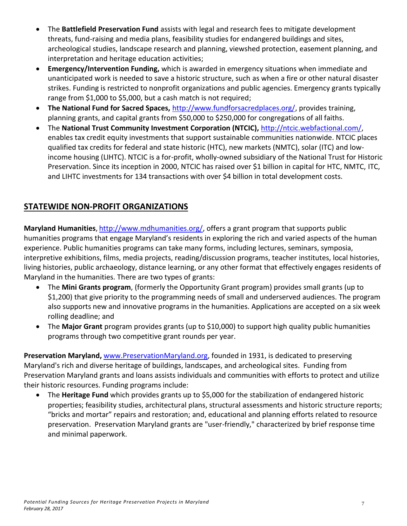- The **Battlefield Preservation Fund** assists with legal and research fees to mitigate development threats, fund-raising and media plans, feasibility studies for endangered buildings and sites, archeological studies, landscape research and planning, viewshed protection, easement planning, and interpretation and heritage education activities;
- **Emergency/Intervention Funding,** which is awarded in emergency situations when immediate and unanticipated work is needed to save a historic structure, such as when a fire or other natural disaster strikes. Funding is restricted to nonprofit organizations and public agencies. Emergency grants typically range from \$1,000 to \$5,000, but a cash match is not required;
- **The National Fund for Sacred Spaces,** [http://www.fundforsacredplaces.org/,](http://www.fundforsacredplaces.org/) provides training, planning grants, and capital grants from \$50,000 to \$250,000 for congregations of all faiths.
- The **National Trust Community Investment Corporation (NTCIC),** [http://ntcic.webfactional.com/,](http://ntcic.webfactional.com/) enables tax credit equity investments that support sustainable communities nationwide. NTCIC places qualified tax credits for federal and state historic (HTC), new markets (NMTC), solar (ITC) and lowincome housing (LIHTC). NTCIC is a for-profit, wholly-owned subsidiary of the National Trust for Historic Preservation. Since its inception in 2000, NTCIC has raised over \$1 billion in capital for HTC, NMTC, ITC, and LIHTC investments for 134 transactions with over \$4 billion in total development costs.

## **STATEWIDE NON-PROFIT ORGANIZATIONS**

**Maryland Humanities**, [http://www.mdhumanities.org/,](http://www.mdhumanities.org/) offers a grant program that supports public humanities programs that engage Maryland's residents in exploring the rich and varied aspects of the human experience. Public humanities programs can take many forms, including lectures, seminars, symposia, interpretive exhibitions, films, media projects, reading/discussion programs, teacher institutes, local histories, living histories, public archaeology, distance learning, or any other format that effectively engages residents of Maryland in the humanities. There are two types of grants:

- The **Mini Grants program**, (formerly the Opportunity Grant program) provides small grants (up to \$1,200) that give priority to the programming needs of small and underserved audiences. The program also supports new and innovative programs in the humanities. Applications are accepted on a six week rolling deadline; and
- The **Major Grant** program provides grants (up to \$10,000) to support high quality public humanities programs through two competitive grant rounds per year.

**Preservation Maryland,** [www.PreservationMaryland.org,](http://www.preservationmaryland.org/) founded in 1931, is dedicated to preserving Maryland's rich and diverse heritage of buildings, landscapes, and archeological sites. Funding from Preservation Maryland grants and loans assists individuals and communities with efforts to protect and utilize their historic resources. Funding programs include:

 The **Heritage Fund** which provides grants up to \$5,000 for the stabilization of endangered historic properties; feasibility studies, architectural plans, structural assessments and historic structure reports; "bricks and mortar" repairs and restoration; and, educational and planning efforts related to resource preservation. Preservation Maryland grants are "user-friendly," characterized by brief response time and minimal paperwork.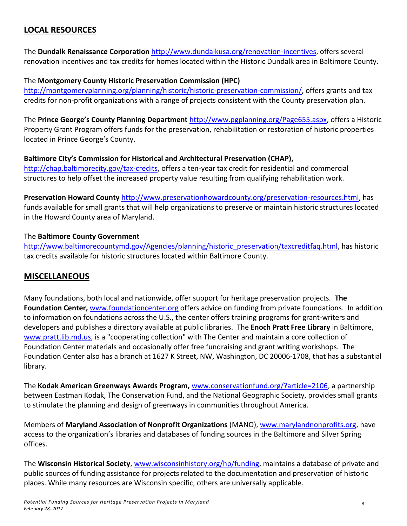#### **LOCAL RESOURCES**

The **Dundalk Renaissance Corporation** [http://www.dundalkusa.org/renovation-incentives,](http://www.dundalkusa.org/renovation-incentives) offers several renovation incentives and tax credits for homes located within the Historic Dundalk area in Baltimore County.

#### The **Montgomery County Historic Preservation Commission (HPC)**

[http://montgomeryplanning.org/planning/historic/historic-preservation-commission/,](http://montgomeryplanning.org/planning/historic/historic-preservation-commission/) offers grants and tax credits for non-profit organizations with a range of projects consistent with the County preservation plan.

The **Prince George's County Planning Department** [http://www.pgplanning.org/Page655.aspx,](http://www.pgplanning.org/Page655.aspx) offers a Historic Property Grant Program offers funds for the preservation, rehabilitation or restoration of historic properties located in Prince George's County.

#### **Baltimore City's Commission for Historical and Architectural Preservation (CHAP),**

[http://chap.baltimorecity.gov/tax-credits,](http://chap.baltimorecity.gov/tax-credits) offers a ten-year tax credit for residential and commercial structures to help offset the increased property value resulting from qualifying rehabilitation work.

**Preservation Howard County** [http://www.preservationhowardcounty.org/preservation-resources.html,](http://www.preservationhowardcounty.org/preservation-resources.html) has funds available for small grants that will help organizations to preserve or maintain historic structures located in the Howard County area of Maryland.

#### The **Baltimore County Government**

[http://www.baltimorecountymd.gov/Agencies/planning/historic\\_preservation/taxcreditfaq.html,](http://www.baltimorecountymd.gov/Agencies/planning/historic_preservation/taxcreditfaq.html) has historic tax credits available for historic structures located within Baltimore County.

#### **MISCELLANEOUS**

Many foundations, both local and nationwide, offer support for heritage preservation projects. **The Foundation Center,** [www.foundationcenter.org](http://www.foundationcenter.org/) offers advice on funding from private foundations. In addition to information on foundations across the U.S., the center offers training programs for grant-writers and developers and publishes a directory available at public libraries. The **Enoch Pratt Free Library** in Baltimore, [www.pratt.lib.md.us,](http://www.pratt.lib.md.us/) is a "cooperating collection" with The Center and maintain a core collection of Foundation Center materials and occasionally offer free fundraising and grant writing workshops. The Foundation Center also has a branch at 1627 K Street, NW, Washington, DC 20006-1708, that has a substantial library.

The **Kodak American Greenways Awards Program,** [www.conservationfund.org/?article=2106,](http://www.conservationfund.org/?article=2106) a partnership between Eastman Kodak, The Conservation Fund, and the National Geographic Society, provides small grants to stimulate the planning and design of greenways in communities throughout America.

Members of **Maryland Association of Nonprofit Organizations** (MANO), [www.marylandnonprofits.org,](http://www.marylandnonprofits.org/) have access to the organization's libraries and databases of funding sources in the Baltimore and Silver Spring offices.

The **Wisconsin Historical Society**[, www.wisconsinhistory.org/hp/funding,](http://www.wisconsinhistory.org/hp/funding/) maintains a database of private and public sources of funding assistance for projects related to the documentation and preservation of historic places. While many resources are Wisconsin specific, others are universally applicable.